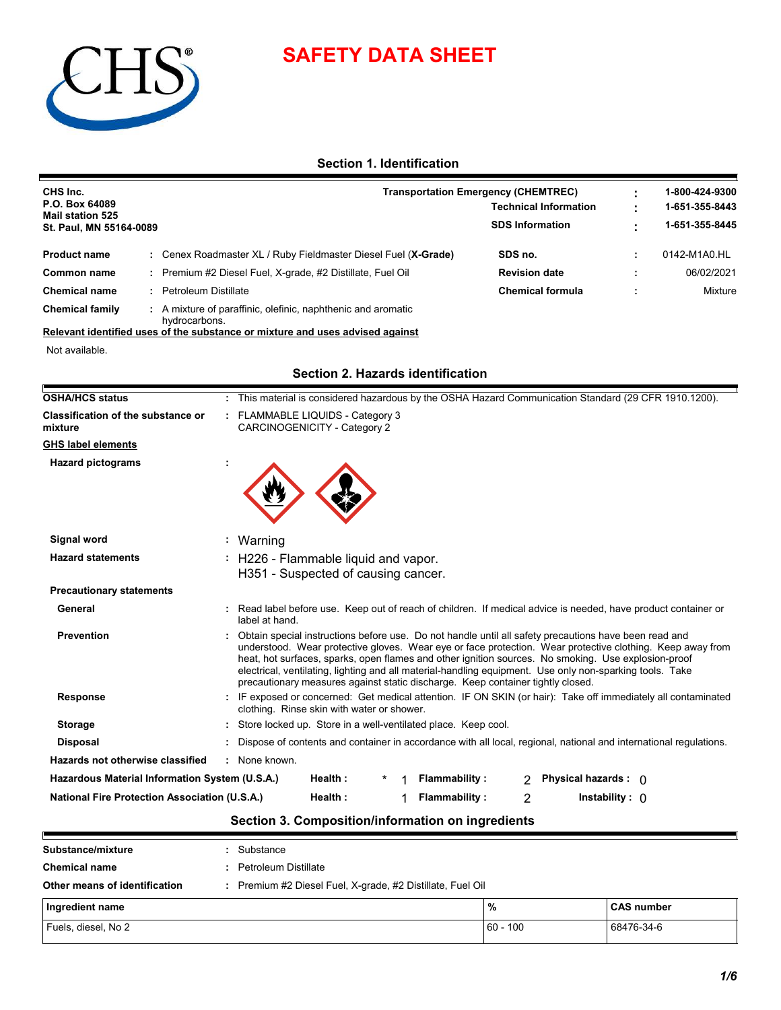# **SAFETY DATA SHEET**



# **Section 1. Identification**

| CHS Inc.<br>P.O. Box 64089<br><b>Mail station 525</b><br>St. Paul, MN 55164-0089 |  |                                                              | <b>Transportation Emergency (CHEMTREC)</b> |  | 1-800-424-9300 |
|----------------------------------------------------------------------------------|--|--------------------------------------------------------------|--------------------------------------------|--|----------------|
|                                                                                  |  |                                                              | <b>Technical Information</b>               |  |                |
|                                                                                  |  |                                                              | <b>SDS Information</b>                     |  | 1-651-355-8445 |
| <b>Product name</b>                                                              |  | Cenex Roadmaster XL / Ruby Fieldmaster Diesel Fuel (X-Grade) | SDS no.                                    |  | 0142-M1A0.HL   |
| Common name                                                                      |  | Premium #2 Diesel Fuel, X-grade, #2 Distillate, Fuel Oil     | <b>Revision date</b>                       |  | 06/02/2021     |
| <b>Chemical name</b>                                                             |  | Petroleum Distillate                                         | <b>Chemical formula</b>                    |  | Mixture        |
| <b>Chemical family</b>                                                           |  | A mixture of paraffinic, olefinic, naphthenic and aromatic   |                                            |  |                |

hydrocarbons. **Relevant identified uses of the substance or mixture and uses advised against**

Not available.

## **Section 2. Hazards identification**

| <b>OSHA/HCS status</b>                               | : This material is considered hazardous by the OSHA Hazard Communication Standard (29 CFR 1910.1200).                                                                                                                                                                                                                                                                                                                                                                                                                    |
|------------------------------------------------------|--------------------------------------------------------------------------------------------------------------------------------------------------------------------------------------------------------------------------------------------------------------------------------------------------------------------------------------------------------------------------------------------------------------------------------------------------------------------------------------------------------------------------|
| <b>Classification of the substance or</b><br>mixture | : FLAMMABLE LIQUIDS - Category 3<br>CARCINOGENICITY - Category 2                                                                                                                                                                                                                                                                                                                                                                                                                                                         |
| <b>GHS label elements</b>                            |                                                                                                                                                                                                                                                                                                                                                                                                                                                                                                                          |
| <b>Hazard pictograms</b>                             |                                                                                                                                                                                                                                                                                                                                                                                                                                                                                                                          |
| Signal word                                          | Warning                                                                                                                                                                                                                                                                                                                                                                                                                                                                                                                  |
| <b>Hazard statements</b>                             | H226 - Flammable liquid and vapor.<br>H351 - Suspected of causing cancer.                                                                                                                                                                                                                                                                                                                                                                                                                                                |
| <b>Precautionary statements</b>                      |                                                                                                                                                                                                                                                                                                                                                                                                                                                                                                                          |
| General                                              | : Read label before use. Keep out of reach of children. If medical advice is needed, have product container or<br>label at hand.                                                                                                                                                                                                                                                                                                                                                                                         |
| <b>Prevention</b>                                    | Obtain special instructions before use. Do not handle until all safety precautions have been read and<br>understood. Wear protective gloves. Wear eye or face protection. Wear protective clothing. Keep away from<br>heat, hot surfaces, sparks, open flames and other ignition sources. No smoking. Use explosion-proof<br>electrical, ventilating, lighting and all material-handling equipment. Use only non-sparking tools. Take<br>precautionary measures against static discharge. Keep container tightly closed. |
| Response                                             | : IF exposed or concerned: Get medical attention. IF ON SKIN (or hair): Take off immediately all contaminated<br>clothing. Rinse skin with water or shower.                                                                                                                                                                                                                                                                                                                                                              |
| <b>Storage</b>                                       | : Store locked up. Store in a well-ventilated place. Keep cool.                                                                                                                                                                                                                                                                                                                                                                                                                                                          |
| <b>Disposal</b>                                      | : Dispose of contents and container in accordance with all local, regional, national and international regulations.                                                                                                                                                                                                                                                                                                                                                                                                      |
| Hazards not otherwise classified                     | : None known.                                                                                                                                                                                                                                                                                                                                                                                                                                                                                                            |
| Hazardous Material Information System (U.S.A.)       | Health:<br><b>Flammability:</b><br>Physical hazards : 0<br>2                                                                                                                                                                                                                                                                                                                                                                                                                                                             |
|                                                      | <b>Flammability:</b>                                                                                                                                                                                                                                                                                                                                                                                                                                                                                                     |

# **Section 3. Composition/information on ingredients**

| Substance/mixture             |  | Substance                                                |               |                   |  |  |  |
|-------------------------------|--|----------------------------------------------------------|---------------|-------------------|--|--|--|
| <b>Chemical name</b>          |  | Petroleum Distillate                                     |               |                   |  |  |  |
| Other means of identification |  | Premium #2 Diesel Fuel, X-grade, #2 Distillate, Fuel Oil |               |                   |  |  |  |
| Ingredient name               |  |                                                          | $\frac{9}{6}$ | <b>CAS number</b> |  |  |  |
| Fuels, diesel, No 2           |  |                                                          | $60 - 100$    | 68476-34-6        |  |  |  |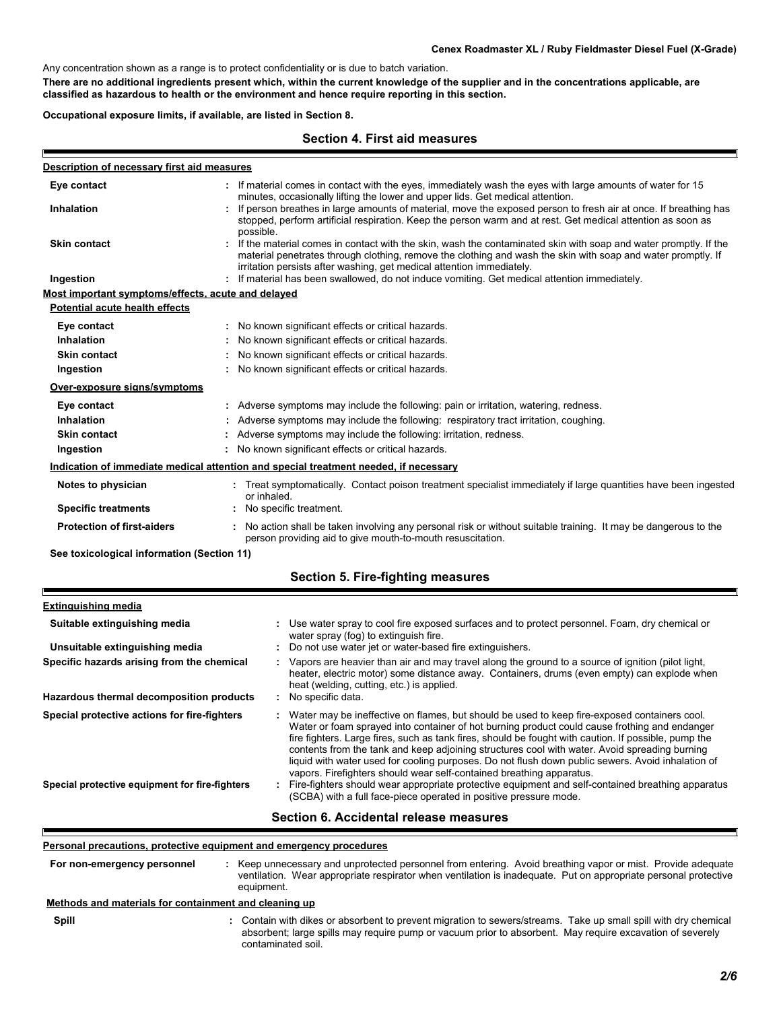Any concentration shown as a range is to protect confidentiality or is due to batch variation.

**There are no additional ingredients present which, within the current knowledge of the supplier and in the concentrations applicable, are classified as hazardous to health or the environment and hence require reporting in this section.**

**Occupational exposure limits, if available, are listed in Section 8.**

#### **Section 4. First aid measures**

| Description of necessary first aid measures        |                                                                                                                                                                                                                                                                                                          |
|----------------------------------------------------|----------------------------------------------------------------------------------------------------------------------------------------------------------------------------------------------------------------------------------------------------------------------------------------------------------|
| Eye contact                                        | If material comes in contact with the eyes, immediately wash the eyes with large amounts of water for 15<br>minutes, occasionally lifting the lower and upper lids. Get medical attention.                                                                                                               |
| <b>Inhalation</b>                                  | If person breathes in large amounts of material, move the exposed person to fresh air at once. If breathing has<br>stopped, perform artificial respiration. Keep the person warm and at rest. Get medical attention as soon as<br>possible.                                                              |
| <b>Skin contact</b>                                | If the material comes in contact with the skin, wash the contaminated skin with soap and water promptly. If the<br>material penetrates through clothing, remove the clothing and wash the skin with soap and water promptly. If<br>irritation persists after washing, get medical attention immediately. |
| Ingestion                                          | If material has been swallowed, do not induce vomiting. Get medical attention immediately.                                                                                                                                                                                                               |
| Most important symptoms/effects, acute and delayed |                                                                                                                                                                                                                                                                                                          |
| Potential acute health effects                     |                                                                                                                                                                                                                                                                                                          |
| Eye contact                                        | : No known significant effects or critical hazards.                                                                                                                                                                                                                                                      |
| Inhalation                                         | No known significant effects or critical hazards.                                                                                                                                                                                                                                                        |
| <b>Skin contact</b>                                | No known significant effects or critical hazards.                                                                                                                                                                                                                                                        |
| Ingestion                                          | No known significant effects or critical hazards.                                                                                                                                                                                                                                                        |
| Over-exposure signs/symptoms                       |                                                                                                                                                                                                                                                                                                          |
| Eye contact                                        | : Adverse symptoms may include the following: pain or irritation, watering, redness.                                                                                                                                                                                                                     |
| Inhalation                                         | Adverse symptoms may include the following: respiratory tract irritation, coughing.                                                                                                                                                                                                                      |
| <b>Skin contact</b>                                | Adverse symptoms may include the following: irritation, redness.                                                                                                                                                                                                                                         |
| Ingestion                                          | : No known significant effects or critical hazards.                                                                                                                                                                                                                                                      |
|                                                    | Indication of immediate medical attention and special treatment needed, if necessary                                                                                                                                                                                                                     |
| Notes to physician                                 | : Treat symptomatically. Contact poison treatment specialist immediately if large quantities have been ingested<br>or inhaled.                                                                                                                                                                           |
| <b>Specific treatments</b>                         | No specific treatment.                                                                                                                                                                                                                                                                                   |
| <b>Protection of first-aiders</b>                  | No action shall be taken involving any personal risk or without suitable training. It may be dangerous to the<br>person providing aid to give mouth-to-mouth resuscitation.                                                                                                                              |

**See toxicological information (Section 11)**

|  | <b>Section 5. Fire-fighting measures</b> |  |
|--|------------------------------------------|--|
|--|------------------------------------------|--|

#### Water may be ineffective on flames, but should be used to keep fire-exposed containers cool. Water or foam sprayed into container of hot burning product could cause frothing and endanger fire fighters. Large fires, such as tank fires, should be fought with caution. If possible, pump the contents from the tank and keep adjoining structures cool with water. Avoid spreading burning liquid with water used for cooling purposes. Do not flush down public sewers. Avoid inhalation of vapors. Firefighters should wear self-contained breathing apparatus. **Hazardous thermal decomposition products Specific hazards arising from the chemical** No specific data. **:** Vapors are heavier than air and may travel along the ground to a source of ignition (pilot light, **:** heater, electric motor) some distance away. Containers, drums (even empty) can explode when heat (welding, cutting, etc.) is applied. Fire-fighters should wear appropriate protective equipment and self-contained breathing apparatus **:** (SCBA) with a full face-piece operated in positive pressure mode. **Special protective equipment for fire-fighters** Use water spray to cool fire exposed surfaces and to protect personnel. Foam, dry chemical or water spray (fog) to extinguish fire. **Extinguishing media** Do not use water jet or water-based fire extinguishers. **Suitable extinguishing media : Unsuitable extinguishing media : Special protective actions for fire-fighters :**

#### **Section 6. Accidental release measures**

#### **Personal precautions, protective equipment and emergency procedures**

**:** Keep unnecessary and unprotected personnel from entering. Avoid breathing vapor or mist. Provide adequate ventilation. Wear appropriate respirator when ventilation is inadequate. Put on appropriate personal protective equipment. **For non-emergency personnel**

#### **: Methods and materials for containment and cleaning up**

**Spill**

Contain with dikes or absorbent to prevent migration to sewers/streams. Take up small spill with dry chemical absorbent; large spills may require pump or vacuum prior to absorbent. May require excavation of severely contaminated soil.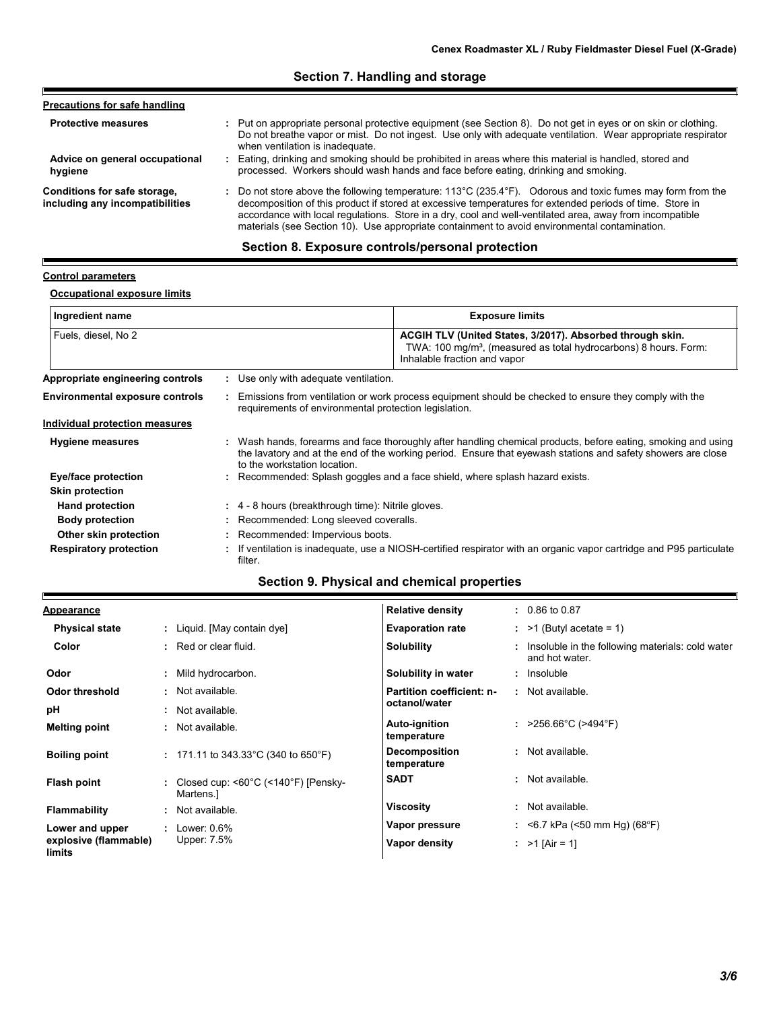# **Section 7. Handling and storage**

| <b>Precautions for safe handling</b>                            |                                                                                                                                                                                                                                                                                                                                                                                                                                                          |
|-----------------------------------------------------------------|----------------------------------------------------------------------------------------------------------------------------------------------------------------------------------------------------------------------------------------------------------------------------------------------------------------------------------------------------------------------------------------------------------------------------------------------------------|
| <b>Protective measures</b>                                      | : Put on appropriate personal protective equipment (see Section 8). Do not get in eyes or on skin or clothing.<br>Do not breathe vapor or mist. Do not ingest. Use only with adequate ventilation. Wear appropriate respirator<br>when ventilation is inadequate.                                                                                                                                                                                        |
| Advice on general occupational<br>hygiene                       | : Eating, drinking and smoking should be prohibited in areas where this material is handled, stored and<br>processed. Workers should wash hands and face before eating, drinking and smoking.                                                                                                                                                                                                                                                            |
| Conditions for safe storage,<br>including any incompatibilities | : Do not store above the following temperature: $113^{\circ}$ C (235.4 $^{\circ}$ F). Odorous and toxic fumes may form from the<br>decomposition of this product if stored at excessive temperatures for extended periods of time. Store in<br>accordance with local regulations. Store in a dry, cool and well-ventilated area, away from incompatible<br>materials (see Section 10). Use appropriate containment to avoid environmental contamination. |

# **Section 8. Exposure controls/personal protection**

#### **Control parameters**

E

Ī

# **Occupational exposure limits**

| Ingredient name                        | <b>Exposure limits</b>                                                                                                                                                                                                                                        |
|----------------------------------------|---------------------------------------------------------------------------------------------------------------------------------------------------------------------------------------------------------------------------------------------------------------|
| Fuels, diesel, No 2                    | ACGIH TLV (United States, 3/2017). Absorbed through skin.<br>TWA: 100 mg/m <sup>3</sup> , (measured as total hydrocarbons) 8 hours. Form:<br>Inhalable fraction and vapor                                                                                     |
| Appropriate engineering controls       | : Use only with adequate ventilation.                                                                                                                                                                                                                         |
| <b>Environmental exposure controls</b> | Emissions from ventilation or work process equipment should be checked to ensure they comply with the<br>requirements of environmental protection legislation.                                                                                                |
| Individual protection measures         |                                                                                                                                                                                                                                                               |
| <b>Hygiene measures</b>                | : Wash hands, forearms and face thoroughly after handling chemical products, before eating, smoking and using<br>the lavatory and at the end of the working period. Ensure that eyewash stations and safety showers are close<br>to the workstation location. |
| Eye/face protection                    | : Recommended: Splash goggles and a face shield, where splash hazard exists.                                                                                                                                                                                  |
| <b>Skin protection</b>                 |                                                                                                                                                                                                                                                               |
| <b>Hand protection</b>                 | $\div$ 4 - 8 hours (breakthrough time): Nitrile gloves.                                                                                                                                                                                                       |
| <b>Body protection</b>                 | : Recommended: Long sleeved coveralls.                                                                                                                                                                                                                        |
| Other skin protection                  | : Recommended: Impervious boots.                                                                                                                                                                                                                              |
| <b>Respiratory protection</b>          | : If ventilation is inadequate, use a NIOSH-certified respirator with an organic vapor cartridge and P95 particulate<br>filter.                                                                                                                               |

# **Section 9. Physical and chemical properties**

| <b>Appearance</b>               |                                                                         | <b>Relative density</b>             | $: 0.86 \text{ to } 0.87$                                            |
|---------------------------------|-------------------------------------------------------------------------|-------------------------------------|----------------------------------------------------------------------|
| <b>Physical state</b>           | : Liquid. [May contain dye]                                             | <b>Evaporation rate</b>             | $:$ >1 (Butyl acetate = 1)                                           |
| Color                           | $:$ Red or clear fluid.                                                 | <b>Solubility</b>                   | : Insoluble in the following materials: cold water<br>and hot water. |
| Odor                            | : Mild hydrocarbon.                                                     | Solubility in water                 | : Insoluble                                                          |
| Odor threshold                  | : Not available.                                                        | <b>Partition coefficient: n-</b>    | : Not available.                                                     |
| рH                              | Not available.                                                          | octanol/water                       |                                                                      |
| <b>Melting point</b>            | : Not available.                                                        | Auto-ignition<br>temperature        | : $>256.66^{\circ}$ C ( $>494^{\circ}$ F)                            |
| <b>Boiling point</b>            | : 171.11 to 343.33 °C (340 to 650 °F)                                   | <b>Decomposition</b><br>temperature | : Not available.                                                     |
| Flash point                     | : Closed cup: < $60^{\circ}$ C (< $140^{\circ}$ F) [Pensky-<br>Martens. | <b>SADT</b>                         | : Not available.                                                     |
| <b>Flammability</b>             | Not available.                                                          | <b>Viscosity</b>                    | : Not available.                                                     |
| Lower and upper                 | $:$ Lower: 0.6%                                                         | Vapor pressure                      | : $\leq$ 6.7 kPa ( $\leq$ 50 mm Hg) (68°F)                           |
| explosive (flammable)<br>limits | Upper: 7.5%                                                             | Vapor density                       | : $>1$ [Air = 1]                                                     |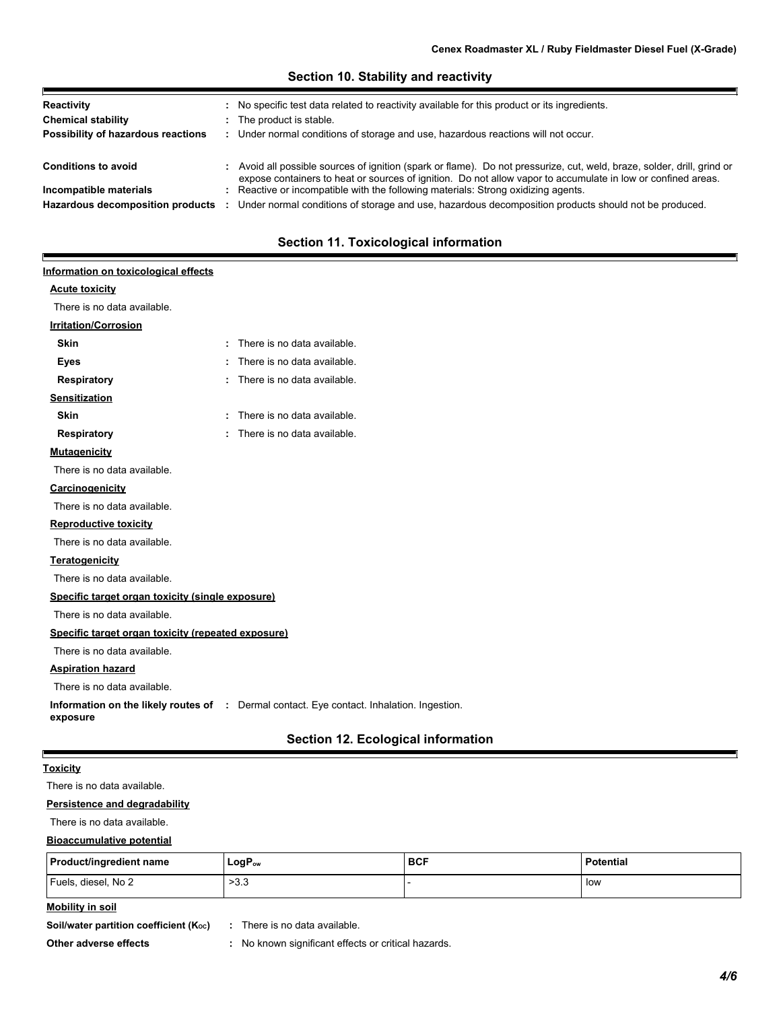| Reactivity<br><b>Chemical stability</b><br>Possibility of hazardous reactions | : No specific test data related to reactivity available for this product or its ingredients.<br>: The product is stable.<br>: Under normal conditions of storage and use, hazardous reactions will not occur.                           |  |
|-------------------------------------------------------------------------------|-----------------------------------------------------------------------------------------------------------------------------------------------------------------------------------------------------------------------------------------|--|
| <b>Conditions to avoid</b>                                                    | : Avoid all possible sources of ignition (spark or flame). Do not pressurize, cut, weld, braze, solder, drill, grind or<br>expose containers to heat or sources of ignition. Do not allow vapor to accumulate in low or confined areas. |  |
| Incompatible materials<br>Hazardous decomposition products                    | : Reactive or incompatible with the following materials: Strong oxidizing agents.<br>Under normal conditions of storage and use, hazardous decomposition products should not be produced.                                               |  |

**Section 10. Stability and reactivity**

# **Section 11. Toxicological information**

# **Acute toxicity Information on toxicological effects**

E

| There is no data available.                        |    |                                                                                                  |
|----------------------------------------------------|----|--------------------------------------------------------------------------------------------------|
| <b>Irritation/Corrosion</b>                        |    |                                                                                                  |
| <b>Skin</b>                                        | ÷. | There is no data available.                                                                      |
| <b>Eyes</b>                                        |    | There is no data available.                                                                      |
| <b>Respiratory</b>                                 |    | There is no data available.                                                                      |
| <b>Sensitization</b>                               |    |                                                                                                  |
| <b>Skin</b>                                        |    | There is no data available.                                                                      |
| <b>Respiratory</b>                                 |    | There is no data available.                                                                      |
| <b>Mutagenicity</b>                                |    |                                                                                                  |
| There is no data available.                        |    |                                                                                                  |
| Carcinogenicity                                    |    |                                                                                                  |
| There is no data available.                        |    |                                                                                                  |
| <b>Reproductive toxicity</b>                       |    |                                                                                                  |
| There is no data available.                        |    |                                                                                                  |
| <b>Teratogenicity</b>                              |    |                                                                                                  |
| There is no data available.                        |    |                                                                                                  |
| Specific target organ toxicity (single exposure)   |    |                                                                                                  |
| There is no data available.                        |    |                                                                                                  |
| Specific target organ toxicity (repeated exposure) |    |                                                                                                  |
| There is no data available.                        |    |                                                                                                  |
| <b>Aspiration hazard</b>                           |    |                                                                                                  |
| There is no data available.                        |    |                                                                                                  |
| exposure                                           |    | <b>Information on the likely routes of : Dermal contact. Eye contact. Inhalation. Ingestion.</b> |
|                                                    |    | Section 12. Ecological information                                                               |

# **Toxicity**

There is no data available.

#### **Persistence and degradability**

There is no data available.

#### **Bioaccumulative potential**

| Product/ingredient name | $LogP_{ow}$ | <b>BCF</b> | <b>Potential</b> |
|-------------------------|-------------|------------|------------------|
| Fuels, diesel, No 2     | >3.3        |            | low              |

# **Mobility in soil**

**Soil/water partition coefficient (K<sub>oc</sub>) :** There is no data available.

**Other adverse effects :** No known significant effects or critical hazards.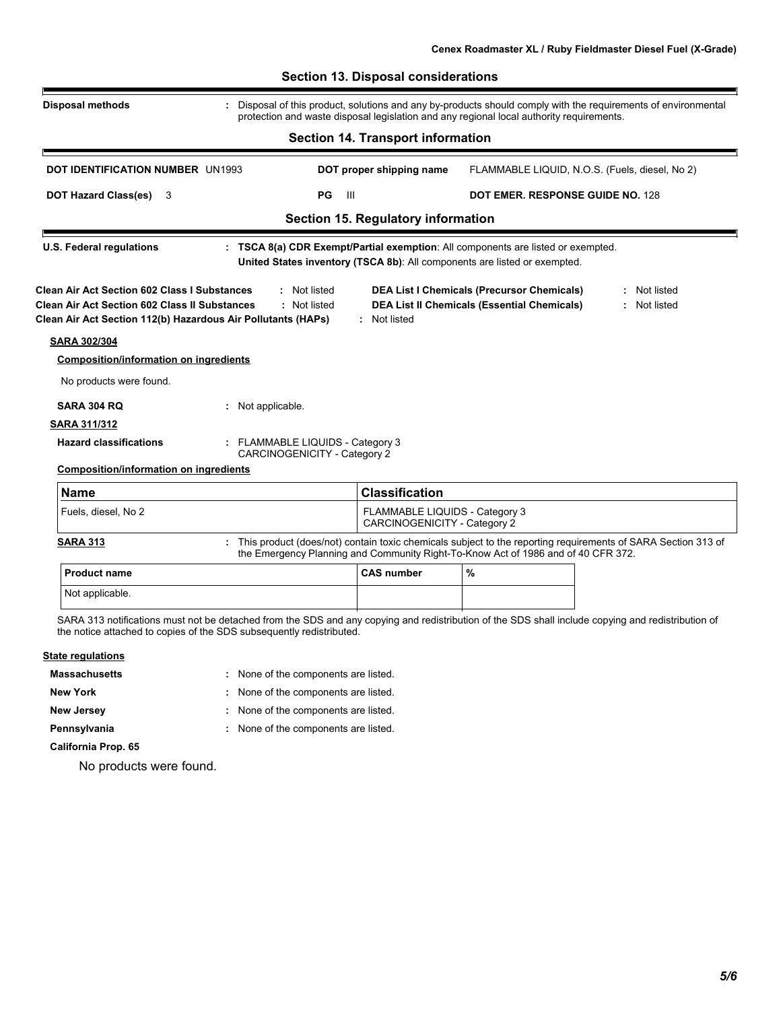|                                                                                                              | <b>Section 14. Transport information</b> |                                                                                                                                                                                                                                                                                                                                                                                                                                                                                                                                                                                                                                                                       |  |  |  |
|--------------------------------------------------------------------------------------------------------------|------------------------------------------|-----------------------------------------------------------------------------------------------------------------------------------------------------------------------------------------------------------------------------------------------------------------------------------------------------------------------------------------------------------------------------------------------------------------------------------------------------------------------------------------------------------------------------------------------------------------------------------------------------------------------------------------------------------------------|--|--|--|
|                                                                                                              |                                          |                                                                                                                                                                                                                                                                                                                                                                                                                                                                                                                                                                                                                                                                       |  |  |  |
| PG<br>$\mathbf{H}$<br><b>DOT Hazard Class(es)</b><br><b>DOT EMER. RESPONSE GUIDE NO. 128</b><br>-3           |                                          |                                                                                                                                                                                                                                                                                                                                                                                                                                                                                                                                                                                                                                                                       |  |  |  |
|                                                                                                              |                                          |                                                                                                                                                                                                                                                                                                                                                                                                                                                                                                                                                                                                                                                                       |  |  |  |
|                                                                                                              |                                          |                                                                                                                                                                                                                                                                                                                                                                                                                                                                                                                                                                                                                                                                       |  |  |  |
| : Not listed<br>: Not listed<br>Clean Air Act Section 112(b) Hazardous Air Pollutants (HAPs)<br>: Not listed |                                          | Not listed<br>: Not listed                                                                                                                                                                                                                                                                                                                                                                                                                                                                                                                                                                                                                                            |  |  |  |
|                                                                                                              |                                          |                                                                                                                                                                                                                                                                                                                                                                                                                                                                                                                                                                                                                                                                       |  |  |  |
|                                                                                                              |                                          |                                                                                                                                                                                                                                                                                                                                                                                                                                                                                                                                                                                                                                                                       |  |  |  |
|                                                                                                              |                                          |                                                                                                                                                                                                                                                                                                                                                                                                                                                                                                                                                                                                                                                                       |  |  |  |
| Not applicable.                                                                                              |                                          |                                                                                                                                                                                                                                                                                                                                                                                                                                                                                                                                                                                                                                                                       |  |  |  |
|                                                                                                              |                                          |                                                                                                                                                                                                                                                                                                                                                                                                                                                                                                                                                                                                                                                                       |  |  |  |
| FLAMMABLE LIQUIDS - Category 3<br>CARCINOGENICITY - Category 2                                               |                                          |                                                                                                                                                                                                                                                                                                                                                                                                                                                                                                                                                                                                                                                                       |  |  |  |
|                                                                                                              |                                          |                                                                                                                                                                                                                                                                                                                                                                                                                                                                                                                                                                                                                                                                       |  |  |  |
| <b>Classification</b>                                                                                        |                                          |                                                                                                                                                                                                                                                                                                                                                                                                                                                                                                                                                                                                                                                                       |  |  |  |
|                                                                                                              |                                          |                                                                                                                                                                                                                                                                                                                                                                                                                                                                                                                                                                                                                                                                       |  |  |  |
|                                                                                                              |                                          |                                                                                                                                                                                                                                                                                                                                                                                                                                                                                                                                                                                                                                                                       |  |  |  |
| <b>CAS number</b>                                                                                            | %                                        |                                                                                                                                                                                                                                                                                                                                                                                                                                                                                                                                                                                                                                                                       |  |  |  |
|                                                                                                              |                                          |                                                                                                                                                                                                                                                                                                                                                                                                                                                                                                                                                                                                                                                                       |  |  |  |
|                                                                                                              |                                          | DOT proper shipping name<br>FLAMMABLE LIQUID, N.O.S. (Fuels, diesel, No 2)<br>Section 15. Regulatory information<br>: TSCA 8(a) CDR Exempt/Partial exemption: All components are listed or exempted.<br>United States inventory (TSCA 8b): All components are listed or exempted.<br><b>DEA List I Chemicals (Precursor Chemicals)</b><br><b>DEA List II Chemicals (Essential Chemicals)</b><br>FLAMMABLE LIQUIDS - Category 3<br>CARCINOGENICITY - Category 2<br>: This product (does/not) contain toxic chemicals subject to the reporting requirements of SARA Section 313 of<br>the Emergency Planning and Community Right-To-Know Act of 1986 and of 40 CFR 372. |  |  |  |

- **Massachusetts None of the components are listed.**
- 
- 
- **New York :** None of the components are listed.
- **New Jersey :** None of the components are listed.
- **Pennsylvania :** None of the components are listed.
- **California Prop. 65**

No products were found.